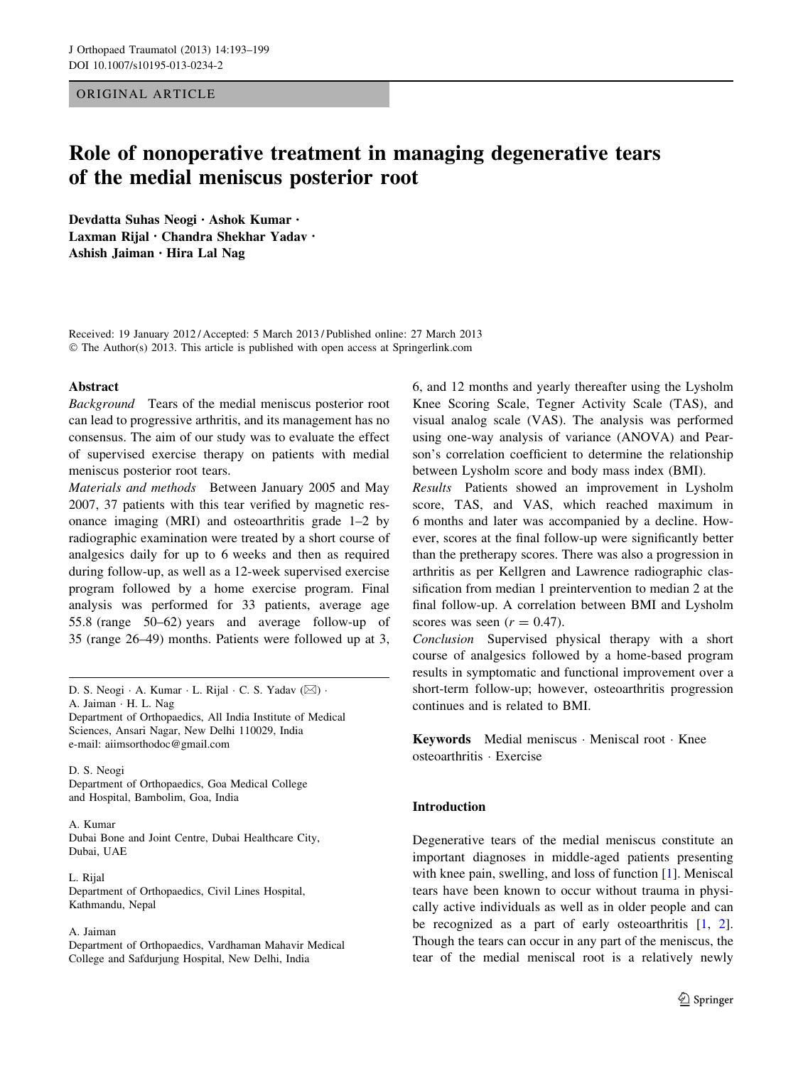## ORIGINAL ARTICLE

# Role of nonoperative treatment in managing degenerative tears of the medial meniscus posterior root

Devdatta Suhas Neogi • Ashok Kumar • Laxman Rijal • Chandra Shekhar Yadav • Ashish Jaiman • Hira Lal Nag

Received: 19 January 2012 / Accepted: 5 March 2013 / Published online: 27 March 2013 © The Author(s) 2013. This article is published with open access at Springerlink.com

#### Abstract

Background Tears of the medial meniscus posterior root can lead to progressive arthritis, and its management has no consensus. The aim of our study was to evaluate the effect of supervised exercise therapy on patients with medial meniscus posterior root tears.

Materials and methods Between January 2005 and May 2007, 37 patients with this tear verified by magnetic resonance imaging (MRI) and osteoarthritis grade 1–2 by radiographic examination were treated by a short course of analgesics daily for up to 6 weeks and then as required during follow-up, as well as a 12-week supervised exercise program followed by a home exercise program. Final analysis was performed for 33 patients, average age 55.8 (range 50–62) years and average follow-up of 35 (range 26–49) months. Patients were followed up at 3,

D. S. Neogi · A. Kumar · L. Rijal · C. S. Yadav (⊠) ·

A. Jaiman - H. L. Nag

Department of Orthopaedics, All India Institute of Medical Sciences, Ansari Nagar, New Delhi 110029, India e-mail: aiimsorthodoc@gmail.com

D. S. Neogi Department of Orthopaedics, Goa Medical College and Hospital, Bambolim, Goa, India

## A. Kumar

Dubai Bone and Joint Centre, Dubai Healthcare City, Dubai, UAE

L. Rijal Department of Orthopaedics, Civil Lines Hospital, Kathmandu, Nepal

#### A. Jaiman

Department of Orthopaedics, Vardhaman Mahavir Medical College and Safdurjung Hospital, New Delhi, India

6, and 12 months and yearly thereafter using the Lysholm Knee Scoring Scale, Tegner Activity Scale (TAS), and visual analog scale (VAS). The analysis was performed using one-way analysis of variance (ANOVA) and Pearson's correlation coefficient to determine the relationship between Lysholm score and body mass index (BMI).

Results Patients showed an improvement in Lysholm score, TAS, and VAS, which reached maximum in 6 months and later was accompanied by a decline. However, scores at the final follow-up were significantly better than the pretherapy scores. There was also a progression in arthritis as per Kellgren and Lawrence radiographic classification from median 1 preintervention to median 2 at the final follow-up. A correlation between BMI and Lysholm scores was seen  $(r = 0.47)$ .

Conclusion Supervised physical therapy with a short course of analgesics followed by a home-based program results in symptomatic and functional improvement over a short-term follow-up; however, osteoarthritis progression continues and is related to BMI.

Keywords Medial meniscus - Meniscal root - Knee osteoarthritis - Exercise

## Introduction

Degenerative tears of the medial meniscus constitute an important diagnoses in middle-aged patients presenting with knee pain, swelling, and loss of function [\[1](#page-6-0)]. Meniscal tears have been known to occur without trauma in physically active individuals as well as in older people and can be recognized as a part of early osteoarthritis [[1,](#page-6-0) [2](#page-6-0)]. Though the tears can occur in any part of the meniscus, the tear of the medial meniscal root is a relatively newly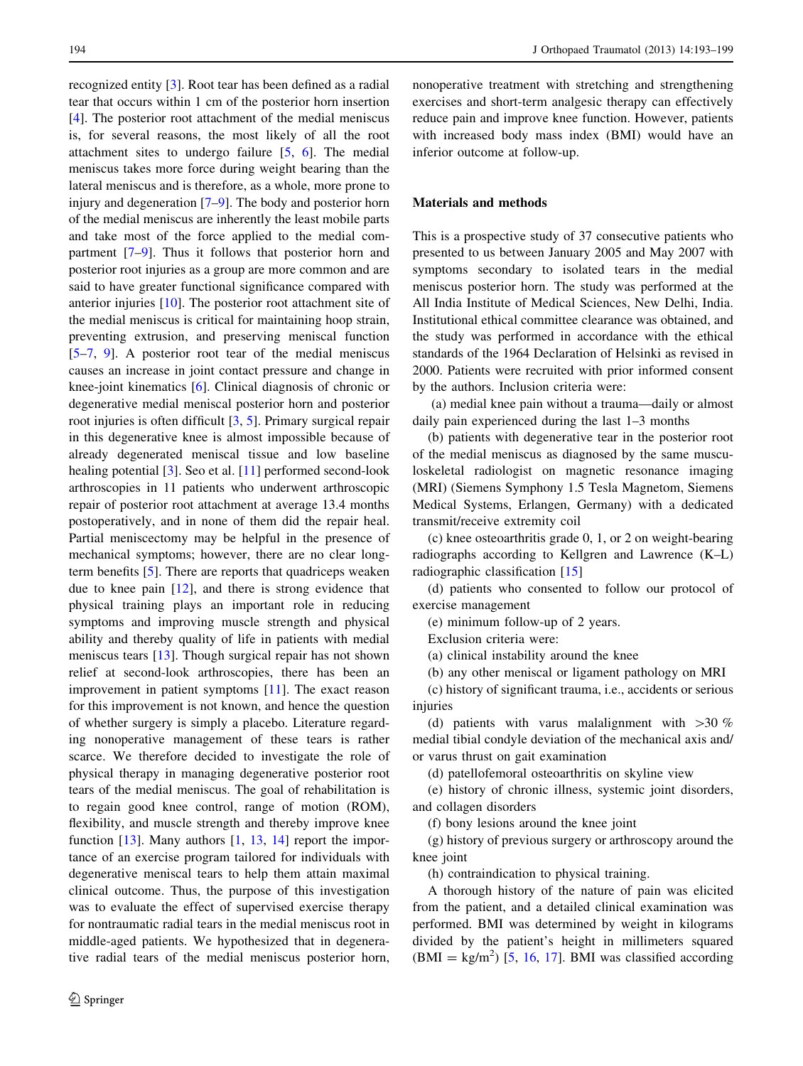recognized entity [\[3](#page-6-0)]. Root tear has been defined as a radial tear that occurs within 1 cm of the posterior horn insertion [\[4](#page-6-0)]. The posterior root attachment of the medial meniscus is, for several reasons, the most likely of all the root attachment sites to undergo failure [\[5](#page-6-0), [6](#page-6-0)]. The medial meniscus takes more force during weight bearing than the lateral meniscus and is therefore, as a whole, more prone to injury and degeneration [[7–9\]](#page-6-0). The body and posterior horn of the medial meniscus are inherently the least mobile parts and take most of the force applied to the medial compartment [[7–9\]](#page-6-0). Thus it follows that posterior horn and posterior root injuries as a group are more common and are said to have greater functional significance compared with anterior injuries [[10\]](#page-6-0). The posterior root attachment site of the medial meniscus is critical for maintaining hoop strain, preventing extrusion, and preserving meniscal function [\[5–7](#page-6-0), [9](#page-6-0)]. A posterior root tear of the medial meniscus causes an increase in joint contact pressure and change in knee-joint kinematics [\[6](#page-6-0)]. Clinical diagnosis of chronic or degenerative medial meniscal posterior horn and posterior root injuries is often difficult [[3,](#page-6-0) [5\]](#page-6-0). Primary surgical repair in this degenerative knee is almost impossible because of already degenerated meniscal tissue and low baseline healing potential [\[3](#page-6-0)]. Seo et al. [\[11](#page-6-0)] performed second-look arthroscopies in 11 patients who underwent arthroscopic repair of posterior root attachment at average 13.4 months postoperatively, and in none of them did the repair heal. Partial meniscectomy may be helpful in the presence of mechanical symptoms; however, there are no clear longterm benefits [\[5](#page-6-0)]. There are reports that quadriceps weaken due to knee pain [\[12](#page-6-0)], and there is strong evidence that physical training plays an important role in reducing symptoms and improving muscle strength and physical ability and thereby quality of life in patients with medial meniscus tears [[13\]](#page-6-0). Though surgical repair has not shown relief at second-look arthroscopies, there has been an improvement in patient symptoms [\[11](#page-6-0)]. The exact reason for this improvement is not known, and hence the question of whether surgery is simply a placebo. Literature regarding nonoperative management of these tears is rather scarce. We therefore decided to investigate the role of physical therapy in managing degenerative posterior root tears of the medial meniscus. The goal of rehabilitation is to regain good knee control, range of motion (ROM), flexibility, and muscle strength and thereby improve knee function [\[13](#page-6-0)]. Many authors [\[1](#page-6-0), [13](#page-6-0), [14](#page-6-0)] report the importance of an exercise program tailored for individuals with degenerative meniscal tears to help them attain maximal clinical outcome. Thus, the purpose of this investigation was to evaluate the effect of supervised exercise therapy for nontraumatic radial tears in the medial meniscus root in middle-aged patients. We hypothesized that in degenerative radial tears of the medial meniscus posterior horn,

nonoperative treatment with stretching and strengthening exercises and short-term analgesic therapy can effectively reduce pain and improve knee function. However, patients with increased body mass index (BMI) would have an inferior outcome at follow-up.

## Materials and methods

This is a prospective study of 37 consecutive patients who presented to us between January 2005 and May 2007 with symptoms secondary to isolated tears in the medial meniscus posterior horn. The study was performed at the All India Institute of Medical Sciences, New Delhi, India. Institutional ethical committee clearance was obtained, and the study was performed in accordance with the ethical standards of the 1964 Declaration of Helsinki as revised in 2000. Patients were recruited with prior informed consent by the authors. Inclusion criteria were:

(a) medial knee pain without a trauma—daily or almost daily pain experienced during the last 1–3 months

(b) patients with degenerative tear in the posterior root of the medial meniscus as diagnosed by the same musculoskeletal radiologist on magnetic resonance imaging (MRI) (Siemens Symphony 1.5 Tesla Magnetom, Siemens Medical Systems, Erlangen, Germany) with a dedicated transmit/receive extremity coil

(c) knee osteoarthritis grade 0, 1, or 2 on weight-bearing radiographs according to Kellgren and Lawrence (K–L) radiographic classification [\[15](#page-6-0)]

(d) patients who consented to follow our protocol of exercise management

(e) minimum follow-up of 2 years.

Exclusion criteria were:

(a) clinical instability around the knee

(b) any other meniscal or ligament pathology on MRI

(c) history of significant trauma, i.e., accidents or serious injuries

(d) patients with varus malalignment with  $>30\%$ medial tibial condyle deviation of the mechanical axis and/ or varus thrust on gait examination

(d) patellofemoral osteoarthritis on skyline view

(e) history of chronic illness, systemic joint disorders, and collagen disorders

(f) bony lesions around the knee joint

(g) history of previous surgery or arthroscopy around the knee joint

(h) contraindication to physical training.

A thorough history of the nature of pain was elicited from the patient, and a detailed clinical examination was performed. BMI was determined by weight in kilograms divided by the patient's height in millimeters squared  $(BMI = kg/m<sup>2</sup>)$  [\[5](#page-6-0), [16,](#page-6-0) [17\]](#page-6-0). BMI was classified according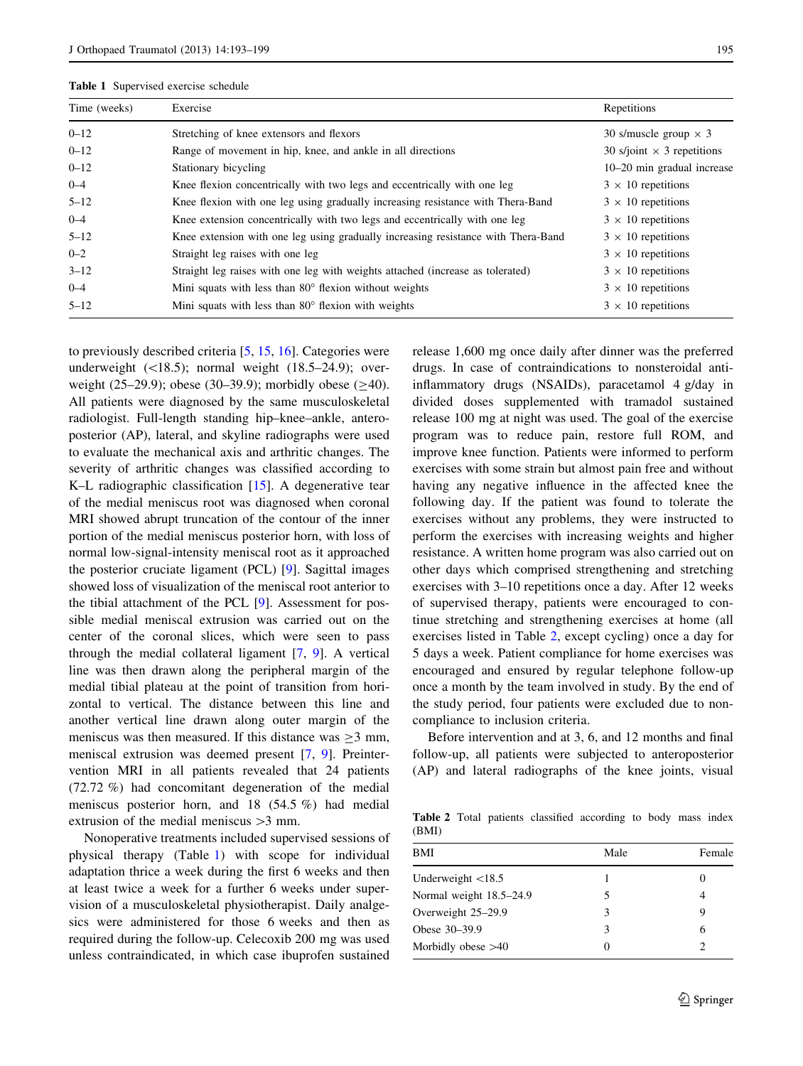<span id="page-2-0"></span>

| Time (weeks) | Exercise                                                                          | Repetitions                       |
|--------------|-----------------------------------------------------------------------------------|-----------------------------------|
| $0 - 12$     | Stretching of knee extensors and flexors                                          | 30 s/muscle group $\times$ 3      |
| $0 - 12$     | Range of movement in hip, knee, and ankle in all directions                       | 30 s/joint $\times$ 3 repetitions |
| $0 - 12$     | Stationary bicycling                                                              | 10–20 min gradual increase        |
| $0 - 4$      | Knee flexion concentrically with two legs and eccentrically with one leg          | $3 \times 10$ repetitions         |
| $5 - 12$     | Knee flexion with one leg using gradually increasing resistance with Thera-Band   | $3 \times 10$ repetitions         |
| $0 - 4$      | Knee extension concentrically with two legs and eccentrically with one leg        | $3 \times 10$ repetitions         |
| $5 - 12$     | Knee extension with one leg using gradually increasing resistance with Thera-Band | $3 \times 10$ repetitions         |
| $0 - 2$      | Straight leg raises with one leg                                                  | $3 \times 10$ repetitions         |
| $3 - 12$     | Straight leg raises with one leg with weights attached (increase as tolerated)    | $3 \times 10$ repetitions         |
| $0 - 4$      | Mini squats with less than $80^\circ$ flexion without weights                     | $3 \times 10$ repetitions         |
| $5 - 12$     | Mini squats with less than $80^\circ$ flexion with weights                        | $3 \times 10$ repetitions         |

to previously described criteria [\[5](#page-6-0), [15](#page-6-0), [16](#page-6-0)]. Categories were underweight  $(\langle 18.5 \rangle;$  normal weight  $(18.5–24.9);$  overweight (25–29.9); obese (30–39.9); morbidly obese ( $\geq$ 40). All patients were diagnosed by the same musculoskeletal radiologist. Full-length standing hip–knee–ankle, anteroposterior (AP), lateral, and skyline radiographs were used to evaluate the mechanical axis and arthritic changes. The severity of arthritic changes was classified according to K–L radiographic classification [[15\]](#page-6-0). A degenerative tear of the medial meniscus root was diagnosed when coronal MRI showed abrupt truncation of the contour of the inner portion of the medial meniscus posterior horn, with loss of normal low-signal-intensity meniscal root as it approached the posterior cruciate ligament (PCL) [\[9](#page-6-0)]. Sagittal images showed loss of visualization of the meniscal root anterior to the tibial attachment of the PCL [[9\]](#page-6-0). Assessment for possible medial meniscal extrusion was carried out on the center of the coronal slices, which were seen to pass through the medial collateral ligament [\[7](#page-6-0), [9](#page-6-0)]. A vertical line was then drawn along the peripheral margin of the medial tibial plateau at the point of transition from horizontal to vertical. The distance between this line and another vertical line drawn along outer margin of the meniscus was then measured. If this distance was  $>3$  mm, meniscal extrusion was deemed present [\[7](#page-6-0), [9\]](#page-6-0). Preintervention MRI in all patients revealed that 24 patients (72.72 %) had concomitant degeneration of the medial meniscus posterior horn, and 18 (54.5 %) had medial extrusion of the medial meniscus  $>3$  mm.

Nonoperative treatments included supervised sessions of physical therapy (Table 1) with scope for individual adaptation thrice a week during the first 6 weeks and then at least twice a week for a further 6 weeks under supervision of a musculoskeletal physiotherapist. Daily analgesics were administered for those 6 weeks and then as required during the follow-up. Celecoxib 200 mg was used unless contraindicated, in which case ibuprofen sustained release 1,600 mg once daily after dinner was the preferred drugs. In case of contraindications to nonsteroidal antiinflammatory drugs (NSAIDs), paracetamol 4 g/day in divided doses supplemented with tramadol sustained release 100 mg at night was used. The goal of the exercise program was to reduce pain, restore full ROM, and improve knee function. Patients were informed to perform exercises with some strain but almost pain free and without having any negative influence in the affected knee the following day. If the patient was found to tolerate the exercises without any problems, they were instructed to perform the exercises with increasing weights and higher resistance. A written home program was also carried out on other days which comprised strengthening and stretching exercises with 3–10 repetitions once a day. After 12 weeks of supervised therapy, patients were encouraged to continue stretching and strengthening exercises at home (all exercises listed in Table 2, except cycling) once a day for 5 days a week. Patient compliance for home exercises was encouraged and ensured by regular telephone follow-up once a month by the team involved in study. By the end of the study period, four patients were excluded due to noncompliance to inclusion criteria.

Before intervention and at 3, 6, and 12 months and final follow-up, all patients were subjected to anteroposterior (AP) and lateral radiographs of the knee joints, visual

Table 2 Total patients classified according to body mass index (BMI)

| BMI                        | Male     | Female   |
|----------------------------|----------|----------|
| Underweight $\langle 18.5$ |          | $\theta$ |
| Normal weight 18.5–24.9    |          |          |
| Overweight 25–29.9         |          | 9        |
| Obese 30–39.9              | 3        | 6        |
| Morbidly obese $>40$       | $\left($ |          |
|                            |          |          |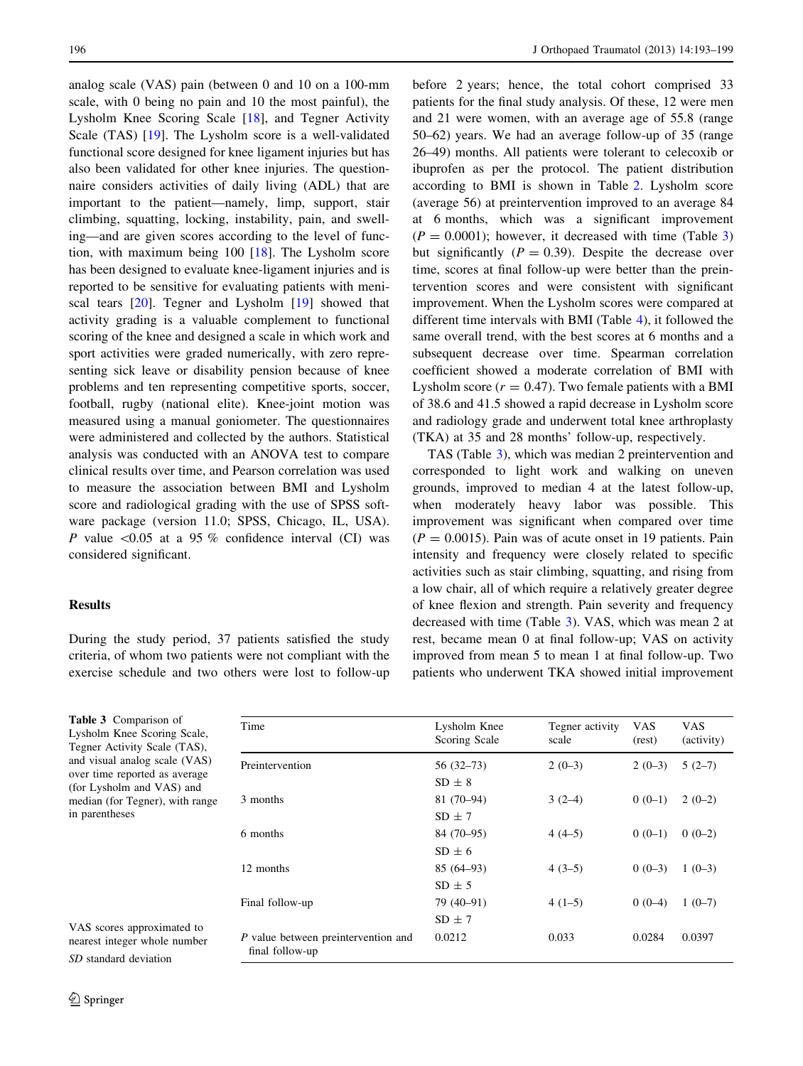analog scale (VAS) pain (between 0 and 10 on a 100-mm scale, with 0 being no pain and 10 the most painful), the Lysholm Knee Scoring Scale [\[18](#page-6-0)], and Tegner Activity Scale (TAS) [\[19](#page-6-0)]. The Lysholm score is a well-validated functional score designed for knee ligament injuries but has also been validated for other knee injuries. The questionnaire considers activities of daily living (ADL) that are important to the patient—namely, limp, support, stair climbing, squatting, locking, instability, pain, and swelling—and are given scores according to the level of function, with maximum being 100 [[18\]](#page-6-0). The Lysholm score has been designed to evaluate knee-ligament injuries and is reported to be sensitive for evaluating patients with meniscal tears [[20\]](#page-6-0). Tegner and Lysholm [\[19](#page-6-0)] showed that activity grading is a valuable complement to functional scoring of the knee and designed a scale in which work and sport activities were graded numerically, with zero representing sick leave or disability pension because of knee problems and ten representing competitive sports, soccer, football, rugby (national elite). Knee-joint motion was measured using a manual goniometer. The questionnaires were administered and collected by the authors. Statistical analysis was conducted with an ANOVA test to compare clinical results over time, and Pearson correlation was used to measure the association between BMI and Lysholm score and radiological grading with the use of SPSS software package (version 11.0; SPSS, Chicago, IL, USA). P value  $\leq 0.05$  at a 95 % confidence interval (CI) was considered significant.

# Results

During the study period, 37 patients satisfied the study criteria, of whom two patients were not compliant with the exercise schedule and two others were lost to follow-up before 2 years; hence, the total cohort comprised 33 patients for the final study analysis. Of these, 12 were men and 21 were women, with an average age of 55.8 (range 50–62) years. We had an average follow-up of 35 (range 26–49) months. All patients were tolerant to celecoxib or ibuprofen as per the protocol. The patient distribution according to BMI is shown in Table [2.](#page-2-0) Lysholm score (average 56) at preintervention improved to an average 84 at 6 months, which was a significant improvement  $(P = 0.0001)$ ; however, it decreased with time (Table 3) but significantly  $(P = 0.39)$ . Despite the decrease over time, scores at final follow-up were better than the preintervention scores and were consistent with significant improvement. When the Lysholm scores were compared at different time intervals with BMI (Table [4](#page-4-0)), it followed the same overall trend, with the best scores at 6 months and a subsequent decrease over time. Spearman correlation coefficient showed a moderate correlation of BMI with Lysholm score  $(r = 0.47)$ . Two female patients with a BMI of 38.6 and 41.5 showed a rapid decrease in Lysholm score and radiology grade and underwent total knee arthroplasty (TKA) at 35 and 28 months' follow-up, respectively.

TAS (Table 3), which was median 2 preintervention and corresponded to light work and walking on uneven grounds, improved to median 4 at the latest follow-up, when moderately heavy labor was possible. This improvement was significant when compared over time  $(P = 0.0015)$ . Pain was of acute onset in 19 patients. Pain intensity and frequency were closely related to specific activities such as stair climbing, squatting, and rising from a low chair, all of which require a relatively greater degree of knee flexion and strength. Pain severity and frequency decreased with time (Table 3). VAS, which was mean 2 at rest, became mean 0 at final follow-up; VAS on activity improved from mean 5 to mean 1 at final follow-up. Two patients who underwent TKA showed initial improvement

| Time                                                   | Lysholm Knee<br>Scoring Scale | Tegner activity<br>scale | <b>VAS</b><br>(rest) | <b>VAS</b><br>(activity) |
|--------------------------------------------------------|-------------------------------|--------------------------|----------------------|--------------------------|
| Preintervention                                        | $56(32-73)$                   | $2(0-3)$                 | $2(0-3)$             | $5(2-7)$                 |
|                                                        | $SD + 8$                      |                          |                      |                          |
| 3 months                                               | $81(70-94)$                   | $3(2-4)$                 | $0(0-1)$             | $2(0-2)$                 |
|                                                        | $SD + 7$                      |                          |                      |                          |
| 6 months                                               | $84(70-95)$                   | $4(4-5)$                 | $0(0-1)$             | $0(0-2)$                 |
|                                                        | $SD + 6$                      |                          |                      |                          |
| 12 months                                              | $85(64-93)$                   | $4(3-5)$                 | $0(0-3)$             | $1(0-3)$                 |
|                                                        | $SD \pm 5$                    |                          |                      |                          |
| Final follow-up                                        | 79 (40-91)                    | $4(1-5)$                 | $0(0-4)$             | $1(0-7)$                 |
|                                                        | $SD \pm 7$                    |                          |                      |                          |
| P value between preintervention and<br>final follow-up | 0.0212                        | 0.033                    | 0.0284               | 0.0397                   |

Tegner Activity Scale (TAS), and visual analog scale (VAS) over time reported as average (for Lysholm and VAS) and median (for Tegner), with range in parentheses

Table 3 Comparison of Lysholm Knee Scoring Scale,

VAS scores approximated to nearest integer whole number SD standard deviation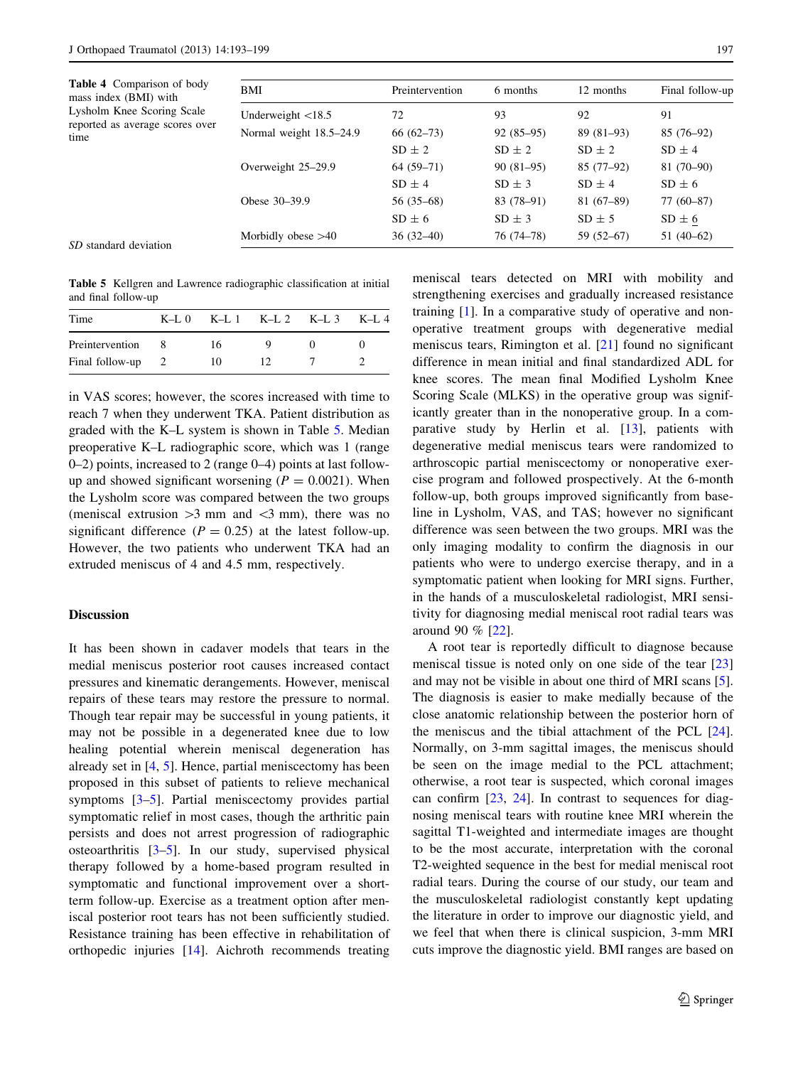<span id="page-4-0"></span>

| <b>Table 4</b> Comparison of body<br>mass index (BMI) with<br>Lysholm Knee Scoring Scale<br>reported as average scores over<br>time | <b>BMI</b>                 | Preintervention | 6 months    | 12 months   | Final follow-up |
|-------------------------------------------------------------------------------------------------------------------------------------|----------------------------|-----------------|-------------|-------------|-----------------|
|                                                                                                                                     | Underweight $\langle 18.5$ | 72              | 93          | 92          | 91              |
|                                                                                                                                     | Normal weight 18.5-24.9    | $66(62-73)$     | $92(85-95)$ | $89(81-93)$ | $85(76-92)$     |
|                                                                                                                                     |                            | $SD \pm 2$      | $SD \pm 2$  | $SD \pm 2$  | $SD \pm 4$      |
|                                                                                                                                     | Overweight 25–29.9         | $64(59-71)$     | $90(81-95)$ | $85(77-92)$ | $81(70-90)$     |
|                                                                                                                                     |                            | $SD \pm 4$      | $SD \pm 3$  | $SD \pm 4$  | $SD \pm 6$      |
|                                                                                                                                     | Obese 30–39.9              | $56(35-68)$     | $83(78-91)$ | $81(67-89)$ | $77(60-87)$     |
|                                                                                                                                     |                            | $SD \pm 6$      | $SD \pm 3$  | $SD \pm 5$  | $SD \pm 6$      |
|                                                                                                                                     | Morbidly obese $>40$       | $36(32-40)$     | 76 (74–78)  | $59(52-67)$ | $51(40-62)$     |
| SD standard deviation                                                                                                               |                            |                 |             |             |                 |

Table 5 Kellgren and Lawrence radiographic classification at initial and final follow-up

| Time              | $K-I.0$ |    | $K-L$ 1 $K-L$ 2 $K-L$ 3 | $K-L$ 4 |
|-------------------|---------|----|-------------------------|---------|
| Preintervention   |         | 16 |                         |         |
| Final follow-up 2 |         | 10 | 12                      |         |

in VAS scores; however, the scores increased with time to reach 7 when they underwent TKA. Patient distribution as graded with the K–L system is shown in Table 5. Median preoperative K–L radiographic score, which was 1 (range 0–2) points, increased to 2 (range 0–4) points at last followup and showed significant worsening  $(P = 0.0021)$ . When the Lysholm score was compared between the two groups (meniscal extrusion  $>3$  mm and  $<3$  mm), there was no significant difference  $(P = 0.25)$  at the latest follow-up. However, the two patients who underwent TKA had an extruded meniscus of 4 and 4.5 mm, respectively.

# **Discussion**

It has been shown in cadaver models that tears in the medial meniscus posterior root causes increased contact pressures and kinematic derangements. However, meniscal repairs of these tears may restore the pressure to normal. Though tear repair may be successful in young patients, it may not be possible in a degenerated knee due to low healing potential wherein meniscal degeneration has already set in [[4,](#page-6-0) [5](#page-6-0)]. Hence, partial meniscectomy has been proposed in this subset of patients to relieve mechanical symptoms [\[3–5](#page-6-0)]. Partial meniscectomy provides partial symptomatic relief in most cases, though the arthritic pain persists and does not arrest progression of radiographic osteoarthritis [\[3–5](#page-6-0)]. In our study, supervised physical therapy followed by a home-based program resulted in symptomatic and functional improvement over a shortterm follow-up. Exercise as a treatment option after meniscal posterior root tears has not been sufficiently studied. Resistance training has been effective in rehabilitation of orthopedic injuries [[14\]](#page-6-0). Aichroth recommends treating meniscal tears detected on MRI with mobility and strengthening exercises and gradually increased resistance training [\[1\]](#page-6-0). In a comparative study of operative and nonoperative treatment groups with degenerative medial meniscus tears, Rimington et al. [\[21](#page-6-0)] found no significant difference in mean initial and final standardized ADL for knee scores. The mean final Modified Lysholm Knee Scoring Scale (MLKS) in the operative group was significantly greater than in the nonoperative group. In a comparative study by Herlin et al. [[13\]](#page-6-0), patients with degenerative medial meniscus tears were randomized to arthroscopic partial meniscectomy or nonoperative exercise program and followed prospectively. At the 6-month follow-up, both groups improved significantly from baseline in Lysholm, VAS, and TAS; however no significant difference was seen between the two groups. MRI was the only imaging modality to confirm the diagnosis in our patients who were to undergo exercise therapy, and in a symptomatic patient when looking for MRI signs. Further, in the hands of a musculoskeletal radiologist, MRI sensitivity for diagnosing medial meniscal root radial tears was around 90 % [\[22](#page-6-0)].

A root tear is reportedly difficult to diagnose because meniscal tissue is noted only on one side of the tear [[23\]](#page-6-0) and may not be visible in about one third of MRI scans [\[5](#page-6-0)]. The diagnosis is easier to make medially because of the close anatomic relationship between the posterior horn of the meniscus and the tibial attachment of the PCL [\[24](#page-6-0)]. Normally, on 3-mm sagittal images, the meniscus should be seen on the image medial to the PCL attachment; otherwise, a root tear is suspected, which coronal images can confirm [[23,](#page-6-0) [24\]](#page-6-0). In contrast to sequences for diagnosing meniscal tears with routine knee MRI wherein the sagittal T1-weighted and intermediate images are thought to be the most accurate, interpretation with the coronal T2-weighted sequence in the best for medial meniscal root radial tears. During the course of our study, our team and the musculoskeletal radiologist constantly kept updating the literature in order to improve our diagnostic yield, and we feel that when there is clinical suspicion, 3-mm MRI cuts improve the diagnostic yield. BMI ranges are based on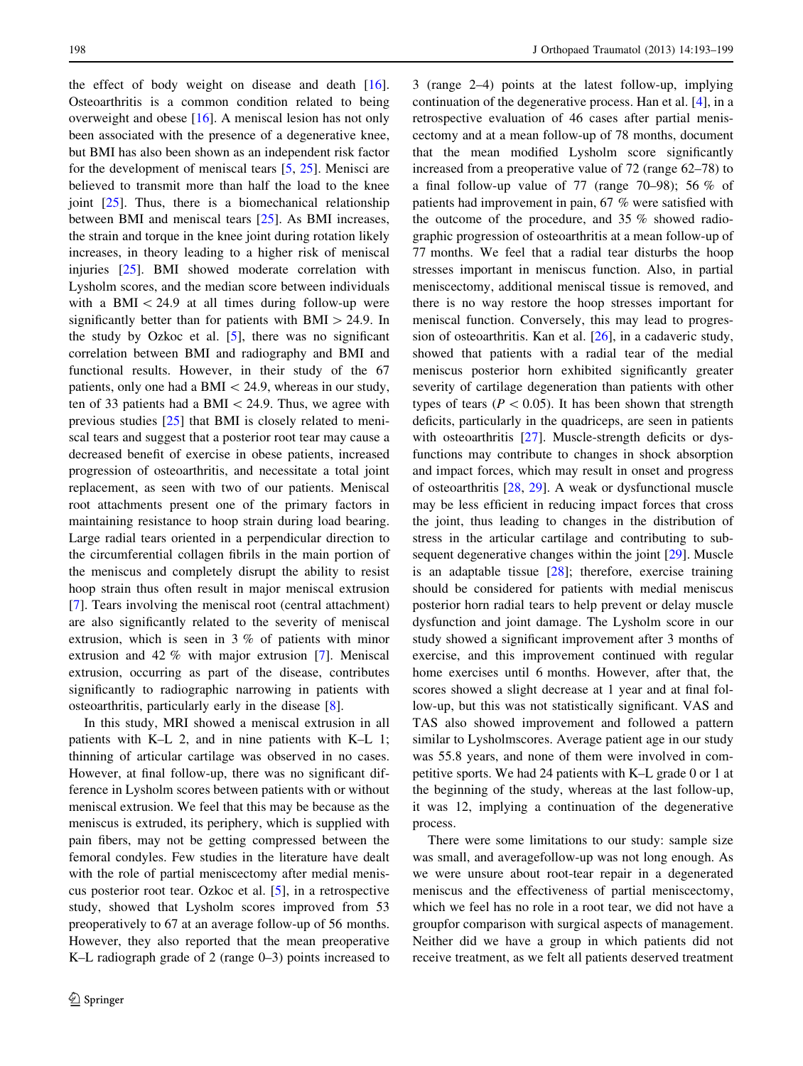the effect of body weight on disease and death [\[16](#page-6-0)]. Osteoarthritis is a common condition related to being overweight and obese [\[16](#page-6-0)]. A meniscal lesion has not only been associated with the presence of a degenerative knee, but BMI has also been shown as an independent risk factor for the development of meniscal tears [[5,](#page-6-0) [25](#page-6-0)]. Menisci are believed to transmit more than half the load to the knee joint  $[25]$  $[25]$ . Thus, there is a biomechanical relationship between BMI and meniscal tears [[25\]](#page-6-0). As BMI increases, the strain and torque in the knee joint during rotation likely increases, in theory leading to a higher risk of meniscal injuries [\[25](#page-6-0)]. BMI showed moderate correlation with Lysholm scores, and the median score between individuals with a BMI  $\lt$  24.9 at all times during follow-up were significantly better than for patients with  $BMI > 24.9$ . In the study by Ozkoc et al. [\[5](#page-6-0)], there was no significant correlation between BMI and radiography and BMI and functional results. However, in their study of the 67 patients, only one had a BMI $<$  24.9, whereas in our study, ten of 33 patients had a BMI $<$  24.9. Thus, we agree with previous studies [[25\]](#page-6-0) that BMI is closely related to meniscal tears and suggest that a posterior root tear may cause a decreased benefit of exercise in obese patients, increased progression of osteoarthritis, and necessitate a total joint replacement, as seen with two of our patients. Meniscal root attachments present one of the primary factors in maintaining resistance to hoop strain during load bearing. Large radial tears oriented in a perpendicular direction to the circumferential collagen fibrils in the main portion of the meniscus and completely disrupt the ability to resist hoop strain thus often result in major meniscal extrusion [\[7](#page-6-0)]. Tears involving the meniscal root (central attachment) are also significantly related to the severity of meniscal extrusion, which is seen in 3 % of patients with minor extrusion and 42 % with major extrusion [[7\]](#page-6-0). Meniscal extrusion, occurring as part of the disease, contributes significantly to radiographic narrowing in patients with osteoarthritis, particularly early in the disease [\[8](#page-6-0)].

In this study, MRI showed a meniscal extrusion in all patients with K–L 2, and in nine patients with K–L 1; thinning of articular cartilage was observed in no cases. However, at final follow-up, there was no significant difference in Lysholm scores between patients with or without meniscal extrusion. We feel that this may be because as the meniscus is extruded, its periphery, which is supplied with pain fibers, may not be getting compressed between the femoral condyles. Few studies in the literature have dealt with the role of partial meniscectomy after medial meniscus posterior root tear. Ozkoc et al. [\[5\]](#page-6-0), in a retrospective study, showed that Lysholm scores improved from 53 preoperatively to 67 at an average follow-up of 56 months. However, they also reported that the mean preoperative K–L radiograph grade of 2 (range 0–3) points increased to 3 (range 2–4) points at the latest follow-up, implying continuation of the degenerative process. Han et al. [\[4](#page-6-0)], in a retrospective evaluation of 46 cases after partial meniscectomy and at a mean follow-up of 78 months, document that the mean modified Lysholm score significantly increased from a preoperative value of 72 (range 62–78) to a final follow-up value of 77 (range 70–98); 56  $%$  of patients had improvement in pain, 67 % were satisfied with the outcome of the procedure, and 35 % showed radiographic progression of osteoarthritis at a mean follow-up of 77 months. We feel that a radial tear disturbs the hoop stresses important in meniscus function. Also, in partial meniscectomy, additional meniscal tissue is removed, and there is no way restore the hoop stresses important for meniscal function. Conversely, this may lead to progression of osteoarthritis. Kan et al. [\[26](#page-6-0)], in a cadaveric study, showed that patients with a radial tear of the medial meniscus posterior horn exhibited significantly greater severity of cartilage degeneration than patients with other types of tears ( $P < 0.05$ ). It has been shown that strength deficits, particularly in the quadriceps, are seen in patients with osteoarthritis [\[27](#page-6-0)]. Muscle-strength deficits or dysfunctions may contribute to changes in shock absorption and impact forces, which may result in onset and progress of osteoarthritis [[28,](#page-6-0) [29](#page-6-0)]. A weak or dysfunctional muscle may be less efficient in reducing impact forces that cross the joint, thus leading to changes in the distribution of stress in the articular cartilage and contributing to subsequent degenerative changes within the joint [\[29](#page-6-0)]. Muscle is an adaptable tissue [[28\]](#page-6-0); therefore, exercise training should be considered for patients with medial meniscus posterior horn radial tears to help prevent or delay muscle dysfunction and joint damage. The Lysholm score in our study showed a significant improvement after 3 months of exercise, and this improvement continued with regular home exercises until 6 months. However, after that, the scores showed a slight decrease at 1 year and at final follow-up, but this was not statistically significant. VAS and TAS also showed improvement and followed a pattern similar to Lysholmscores. Average patient age in our study was 55.8 years, and none of them were involved in competitive sports. We had 24 patients with K–L grade 0 or 1 at the beginning of the study, whereas at the last follow-up, it was 12, implying a continuation of the degenerative process.

There were some limitations to our study: sample size was small, and averagefollow-up was not long enough. As we were unsure about root-tear repair in a degenerated meniscus and the effectiveness of partial meniscectomy, which we feel has no role in a root tear, we did not have a groupfor comparison with surgical aspects of management. Neither did we have a group in which patients did not receive treatment, as we felt all patients deserved treatment